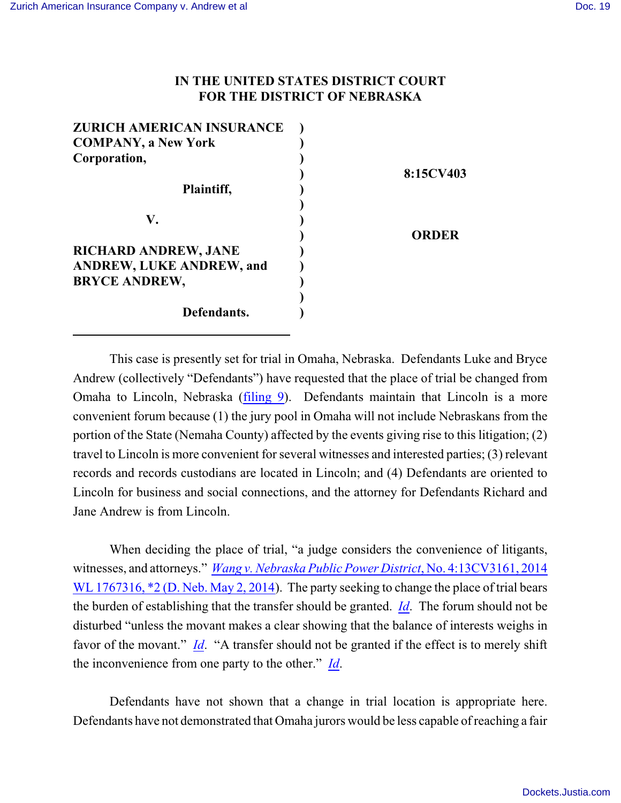## **IN THE UNITED STATES DISTRICT COURT FOR THE DISTRICT OF NEBRASKA**

| 8:15CV403 |              |
|-----------|--------------|
|           |              |
|           | <b>ORDER</b> |
|           |              |
|           |              |

This case is presently set for trial in Omaha, Nebraska. Defendants Luke and Bryce Andrew (collectively "Defendants") have requested that the place of trial be changed from Omaha to Lincoln, Nebraska [\(filing 9](https://ecf.ned.uscourts.gov/doc1/11313407689)). Defendants maintain that Lincoln is a more convenient forum because (1) the jury pool in Omaha will not include Nebraskans from the portion of the State (Nemaha County) affected by the events giving rise to this litigation; (2) travel to Lincoln is more convenient for several witnesses and interested parties; (3) relevant records and records custodians are located in Lincoln; and (4) Defendants are oriented to Lincoln for business and social connections, and the attorney for Defendants Richard and Jane Andrew is from Lincoln.

When deciding the place of trial, "a judge considers the convenience of litigants, witnesses, and attorneys." *[Wang v. Nebraska Public Power District](https://a.next.westlaw.com/Document/If3adc5b4d4fe11e3b4bafa136b480ad2/View/FullText.html?transitionType=UniqueDocItem&contextData=(sc.Default)&userEnteredCitation=2014+wl+1767316)*, No. 4:13CV3161, 2014 WL 1767316,  $*2$  (D. Neb. May 2, 2014). The party seeking to change the place of trial bears the burden of establishing that the transfer should be granted. *[Id](https://a.next.westlaw.com/Document/If3adc5b4d4fe11e3b4bafa136b480ad2/View/FullText.html?transitionType=UniqueDocItem&contextData=(sc.Default)&userEnteredCitation=2014+wl+1767316)*. The forum should not be disturbed "unless the movant makes a clear showing that the balance of interests weighs in favor of the movant." *[Id](https://a.next.westlaw.com/Document/If3adc5b4d4fe11e3b4bafa136b480ad2/View/FullText.html?transitionType=UniqueDocItem&contextData=(sc.Default)&userEnteredCitation=2014+wl+1767316)*. "A transfer should not be granted if the effect is to merely shift the inconvenience from one party to the other." *[Id](https://a.next.westlaw.com/Document/If3adc5b4d4fe11e3b4bafa136b480ad2/View/FullText.html?transitionType=UniqueDocItem&contextData=(sc.Default)&userEnteredCitation=2014+wl+1767316)*.

Defendants have not shown that a change in trial location is appropriate here. Defendants have not demonstrated that Omaha jurors would be less capable of reaching a fair